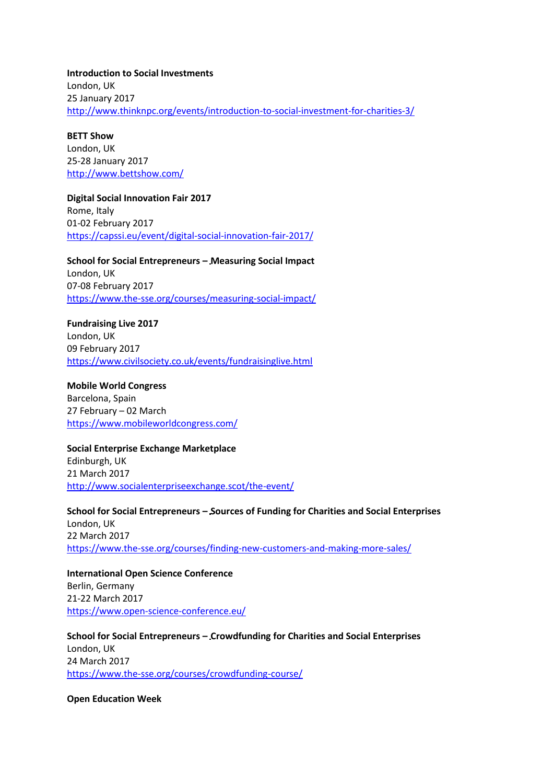**Introduction to Social Investments** London, UK 25 January 2017 <http://www.thinknpc.org/events/introduction-to-social-investment-for-charities-3/>

**BETT Show** London, UK 25-28 January 2017 <http://www.bettshow.com/>

**Digital Social Innovation Fair 2017** Rome, Italy 01-02 February 2017 <https://capssi.eu/event/digital-social-innovation-fair-2017/>

**School for Social Entrepreneurs – Measuring Social Impact** London, UK 07-08 February 2017 <https://www.the-sse.org/courses/measuring-social-impact/>

**Fundraising Live 2017** London, UK 09 February 2017 <https://www.civilsociety.co.uk/events/fundraisinglive.html>

**Mobile World Congress** Barcelona, Spain 27 February – 02 March <https://www.mobileworldcongress.com/>

**Social Enterprise Exchange Marketplace** Edinburgh, UK 21 March 2017 <http://www.socialenterpriseexchange.scot/the-event/>

**School for Social Entrepreneurs – Sources of Funding for Charities and Social Enterprises** London, UK 22 March 2017 <https://www.the-sse.org/courses/finding-new-customers-and-making-more-sales/>

**International Open Science Conference** Berlin, Germany 21-22 March 2017 <https://www.open-science-conference.eu/>

**School for Social Entrepreneurs – Crowdfunding for Charities and Social Enterprises** London, UK 24 March 2017 <https://www.the-sse.org/courses/crowdfunding-course/>

**Open Education Week**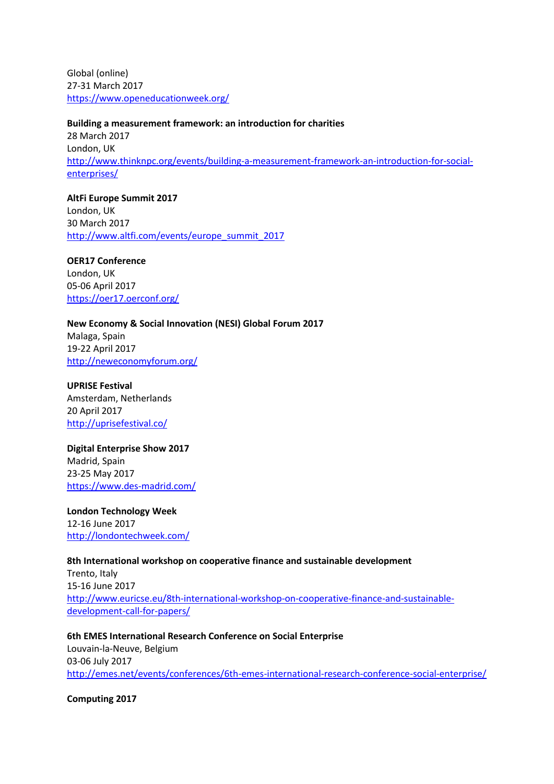Global (online) 27-31 March 2017 <https://www.openeducationweek.org/>

**Building a measurement framework: an introduction for charities** 28 March 2017 London, UK [http://www.thinknpc.org/events/building-a-measurement-framework-an-introduction-for-social](http://www.thinknpc.org/events/building-a-measurement-framework-an-introduction-for-social-enterprises/)[enterprises/](http://www.thinknpc.org/events/building-a-measurement-framework-an-introduction-for-social-enterprises/)

**AltFi Europe Summit 2017** London, UK 30 March 2017 [http://www.altfi.com/events/europe\\_summit\\_2017](http://www.altfi.com/events/europe_summit_2017)

**OER17 Conference** London, UK 05-06 April 2017 <https://oer17.oerconf.org/>

**New Economy & Social Innovation (NESI) Global Forum 2017** Malaga, Spain 19-22 April 2017

<http://neweconomyforum.org/>

**UPRISE Festival** Amsterdam, Netherlands 20 April 2017 <http://uprisefestival.co/>

**Digital Enterprise Show 2017** Madrid, Spain 23-25 May 2017 <https://www.des-madrid.com/>

**London Technology Week**  12-16 June 2017 <http://londontechweek.com/>

**8th International workshop on cooperative finance and sustainable development** Trento, Italy 15-16 June 2017 [http://www.euricse.eu/8th-international-workshop-on-cooperative-finance-and-sustainable](http://www.euricse.eu/8th-international-workshop-on-cooperative-finance-and-sustainable-development-call-for-papers/)[development-call-for-papers/](http://www.euricse.eu/8th-international-workshop-on-cooperative-finance-and-sustainable-development-call-for-papers/)

**6th EMES International Research Conference on Social Enterprise** Louvain-la-Neuve, Belgium 03-06 July 2017 <http://emes.net/events/conferences/6th-emes-international-research-conference-social-enterprise/>

**Computing 2017**